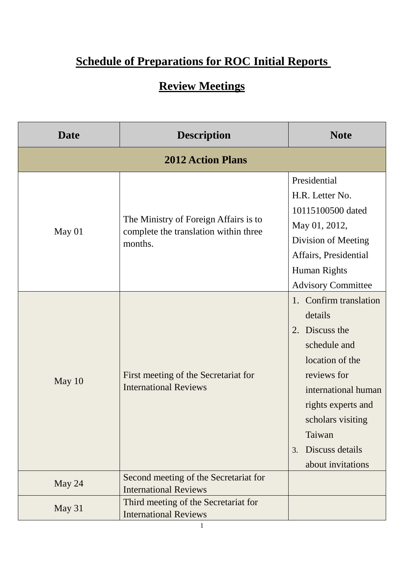## **Schedule of Preparations for ROC Initial Reports**

## **Review Meetings**

| <b>Date</b>              | <b>Description</b>                                                                        | <b>Note</b>                                                                                                                                                                                                                                                  |  |  |
|--------------------------|-------------------------------------------------------------------------------------------|--------------------------------------------------------------------------------------------------------------------------------------------------------------------------------------------------------------------------------------------------------------|--|--|
| <b>2012 Action Plans</b> |                                                                                           |                                                                                                                                                                                                                                                              |  |  |
| May 01                   | The Ministry of Foreign Affairs is to<br>complete the translation within three<br>months. | Presidential<br>H.R. Letter No.<br>10115100500 dated<br>May 01, 2012,<br>Division of Meeting<br>Affairs, Presidential<br>Human Rights                                                                                                                        |  |  |
| May 10                   | First meeting of the Secretariat for<br><b>International Reviews</b>                      | <b>Advisory Committee</b><br>1. Confirm translation<br>details<br>2. Discuss the<br>schedule and<br>location of the<br>reviews for<br>international human<br>rights experts and<br>scholars visiting<br>Taiwan<br>Discuss details<br>3.<br>about invitations |  |  |
| May 24                   | Second meeting of the Secretariat for<br><b>International Reviews</b>                     |                                                                                                                                                                                                                                                              |  |  |
| May 31                   | Third meeting of the Secretariat for<br><b>International Reviews</b>                      |                                                                                                                                                                                                                                                              |  |  |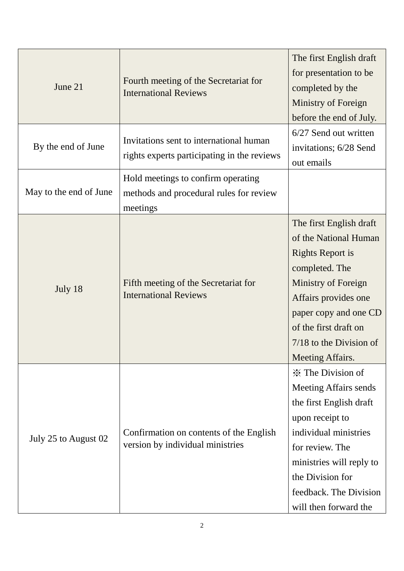| June 21                | Fourth meeting of the Secretariat for<br><b>International Reviews</b>                     | The first English draft<br>for presentation to be<br>completed by the<br>Ministry of Foreign<br>before the end of July.                                                                                                                               |
|------------------------|-------------------------------------------------------------------------------------------|-------------------------------------------------------------------------------------------------------------------------------------------------------------------------------------------------------------------------------------------------------|
| By the end of June     | Invitations sent to international human<br>rights experts participating in the reviews    | 6/27 Send out written<br>invitations; 6/28 Send<br>out emails                                                                                                                                                                                         |
| May to the end of June | Hold meetings to confirm operating<br>methods and procedural rules for review<br>meetings |                                                                                                                                                                                                                                                       |
| July 18                | Fifth meeting of the Secretariat for<br><b>International Reviews</b>                      | The first English draft<br>of the National Human<br><b>Rights Report is</b><br>completed. The<br>Ministry of Foreign<br>Affairs provides one<br>paper copy and one CD<br>of the first draft on<br>$7/18$ to the Division of<br>Meeting Affairs.       |
| July 25 to August 02   | Confirmation on contents of the English<br>version by individual ministries               | <b>X</b> The Division of<br><b>Meeting Affairs sends</b><br>the first English draft<br>upon receipt to<br>individual ministries<br>for review. The<br>ministries will reply to<br>the Division for<br>feedback. The Division<br>will then forward the |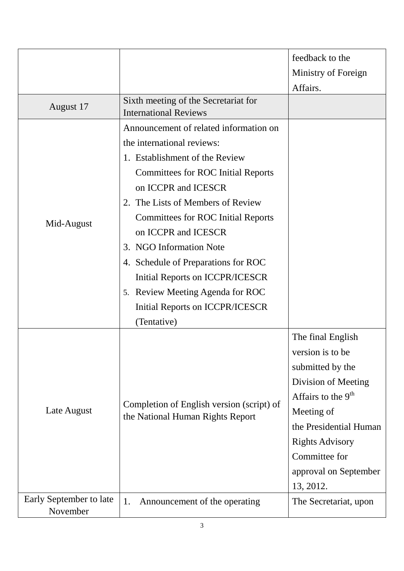|                                     |                                                                                                                                                                                                                                                                                                                                                                                                                                                                                | feedback to the<br>Ministry of Foreign<br>Affairs.                                                                                                                                                                                |
|-------------------------------------|--------------------------------------------------------------------------------------------------------------------------------------------------------------------------------------------------------------------------------------------------------------------------------------------------------------------------------------------------------------------------------------------------------------------------------------------------------------------------------|-----------------------------------------------------------------------------------------------------------------------------------------------------------------------------------------------------------------------------------|
| August 17                           | Sixth meeting of the Secretariat for<br><b>International Reviews</b>                                                                                                                                                                                                                                                                                                                                                                                                           |                                                                                                                                                                                                                                   |
| Mid-August                          | Announcement of related information on<br>the international reviews:<br>1. Establishment of the Review<br><b>Committees for ROC Initial Reports</b><br>on ICCPR and ICESCR<br>2. The Lists of Members of Review<br><b>Committees for ROC Initial Reports</b><br>on ICCPR and ICESCR<br>3. NGO Information Note<br>4. Schedule of Preparations for ROC<br>Initial Reports on ICCPR/ICESCR<br>5. Review Meeting Agenda for ROC<br>Initial Reports on ICCPR/ICESCR<br>(Tentative) |                                                                                                                                                                                                                                   |
| Late August                         | Completion of English version (script) of<br>the National Human Rights Report                                                                                                                                                                                                                                                                                                                                                                                                  | The final English<br>version is to be<br>submitted by the<br>Division of Meeting<br>Affairs to the $9th$<br>Meeting of<br>the Presidential Human<br><b>Rights Advisory</b><br>Committee for<br>approval on September<br>13, 2012. |
| Early September to late<br>November | 1.<br>Announcement of the operating                                                                                                                                                                                                                                                                                                                                                                                                                                            | The Secretariat, upon                                                                                                                                                                                                             |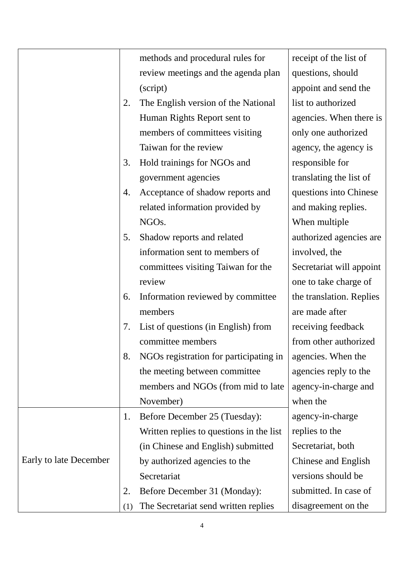|                        |     | methods and procedural rules for         | receipt of the list of   |
|------------------------|-----|------------------------------------------|--------------------------|
|                        |     | review meetings and the agenda plan      | questions, should        |
|                        |     | (script)                                 | appoint and send the     |
|                        | 2.  | The English version of the National      | list to authorized       |
|                        |     | Human Rights Report sent to              | agencies. When there is  |
|                        |     | members of committees visiting           | only one authorized      |
|                        |     | Taiwan for the review                    | agency, the agency is    |
|                        | 3.  | Hold trainings for NGOs and              | responsible for          |
|                        |     | government agencies                      | translating the list of  |
|                        | 4.  | Acceptance of shadow reports and         | questions into Chinese   |
|                        |     | related information provided by          | and making replies.      |
|                        |     | NGO <sub>s</sub> .                       | When multiple            |
|                        | 5.  | Shadow reports and related               | authorized agencies are  |
|                        |     | information sent to members of           | involved, the            |
|                        |     | committees visiting Taiwan for the       | Secretariat will appoint |
|                        |     | review                                   | one to take charge of    |
|                        | 6.  | Information reviewed by committee        | the translation. Replies |
|                        |     | members                                  | are made after           |
|                        | 7.  | List of questions (in English) from      | receiving feedback       |
|                        |     | committee members                        | from other authorized    |
|                        | 8.  | NGOs registration for participating in   | agencies. When the       |
|                        |     | the meeting between committee            | agencies reply to the    |
|                        |     | members and NGOs (from mid to late       | agency-in-charge and     |
|                        |     | November)                                | when the                 |
|                        | 1.  | Before December 25 (Tuesday):            | agency-in-charge         |
|                        |     | Written replies to questions in the list | replies to the           |
|                        |     | (in Chinese and English) submitted       | Secretariat, both        |
| Early to late December |     | by authorized agencies to the            | Chinese and English      |
|                        |     | Secretariat                              | versions should be       |
|                        | 2.  | Before December 31 (Monday):             | submitted. In case of    |
|                        | (1) | The Secretariat send written replies     | disagreement on the      |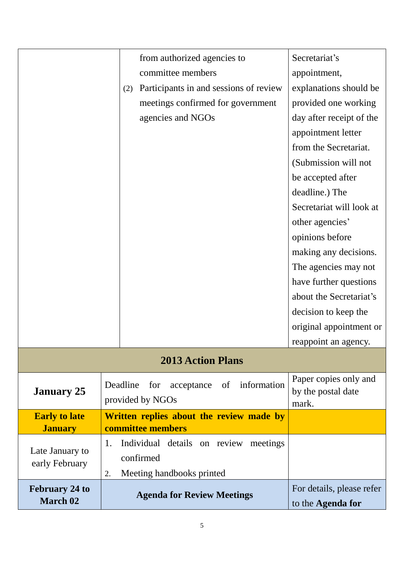|                                   | from authorized agencies to                                | Secretariat's                                        |  |
|-----------------------------------|------------------------------------------------------------|------------------------------------------------------|--|
|                                   | committee members                                          | appointment,                                         |  |
|                                   | Participants in and sessions of review<br>(2)              | explanations should be                               |  |
|                                   | meetings confirmed for government                          | provided one working                                 |  |
|                                   | agencies and NGOs                                          | day after receipt of the                             |  |
|                                   |                                                            | appointment letter                                   |  |
|                                   |                                                            | from the Secretariat.                                |  |
|                                   |                                                            | (Submission will not                                 |  |
|                                   |                                                            | be accepted after                                    |  |
|                                   |                                                            | deadline.) The                                       |  |
|                                   |                                                            | Secretariat will look at                             |  |
|                                   | other agencies'                                            |                                                      |  |
|                                   |                                                            | opinions before                                      |  |
|                                   | making any decisions.                                      |                                                      |  |
|                                   | The agencies may not                                       |                                                      |  |
|                                   | have further questions                                     |                                                      |  |
|                                   |                                                            | about the Secretariat's                              |  |
|                                   |                                                            | decision to keep the                                 |  |
|                                   |                                                            | original appointment or                              |  |
|                                   |                                                            | reappoint an agency.                                 |  |
| <b>2013 Action Plans</b>          |                                                            |                                                      |  |
| <b>January 25</b>                 | Deadline for acceptance of information<br>provided by NGOs | Paper copies only and<br>by the postal date<br>mark. |  |
| <b>Early to late</b>              | Written replies about the review made by                   |                                                      |  |
| <b>January</b>                    | committee members                                          |                                                      |  |
| Late January to<br>early February | 1.<br>Individual details on review meetings                |                                                      |  |
|                                   | confirmed                                                  |                                                      |  |
|                                   | Meeting handbooks printed<br>2.                            |                                                      |  |
| <b>February 24 to</b>             | <b>Agenda for Review Meetings</b>                          | For details, please refer                            |  |
| <b>March 02</b>                   |                                                            | to the <b>Agenda for</b>                             |  |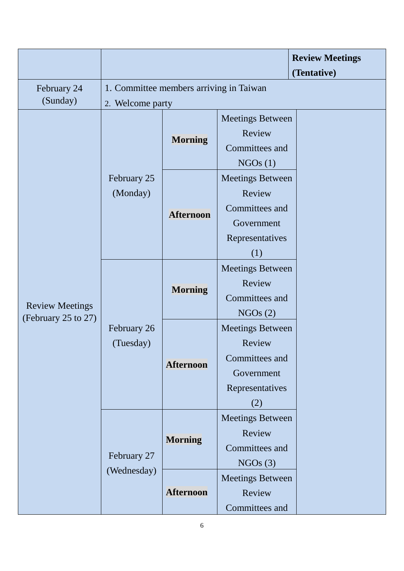|                                               |                                         |                                |                         | <b>Review Meetings</b><br>(Tentative) |
|-----------------------------------------------|-----------------------------------------|--------------------------------|-------------------------|---------------------------------------|
| February 24                                   | 1. Committee members arriving in Taiwan |                                |                         |                                       |
| (Sunday)                                      | 2. Welcome party                        |                                |                         |                                       |
|                                               | February 25<br>(Monday)                 |                                | <b>Meetings Between</b> |                                       |
|                                               |                                         | <b>Morning</b>                 | Review                  |                                       |
|                                               |                                         |                                | Committees and          |                                       |
|                                               |                                         |                                | NGOs(1)                 |                                       |
|                                               |                                         |                                | <b>Meetings Between</b> |                                       |
|                                               |                                         |                                | Review                  |                                       |
|                                               |                                         |                                | Committees and          |                                       |
|                                               |                                         | <b>Afternoon</b>               | Government              |                                       |
|                                               |                                         |                                | Representatives         |                                       |
|                                               |                                         |                                | (1)                     |                                       |
|                                               |                                         |                                | <b>Meetings Between</b> |                                       |
|                                               |                                         |                                | Review                  |                                       |
|                                               |                                         | <b>Morning</b>                 | Committees and          |                                       |
| <b>Review Meetings</b><br>(February 25 to 27) |                                         |                                | NGOs(2)                 |                                       |
|                                               | February 26                             |                                |                         |                                       |
|                                               | (Tuesday)                               | <b>Afternoon</b>               | Review                  |                                       |
|                                               |                                         |                                | Committees and          |                                       |
|                                               |                                         |                                | Government              |                                       |
|                                               |                                         |                                | Representatives         |                                       |
|                                               |                                         | <b>Meetings Between</b><br>(2) |                         |                                       |
|                                               |                                         |                                | <b>Meetings Between</b> |                                       |
|                                               | February 27                             | <b>Morning</b>                 | Review                  |                                       |
|                                               |                                         |                                | Committees and          |                                       |
|                                               |                                         |                                | NGOs(3)                 |                                       |
|                                               | (Wednesday)                             | <b>Afternoon</b>               | <b>Meetings Between</b> |                                       |
|                                               |                                         |                                | Review                  |                                       |
|                                               |                                         |                                | Committees and          |                                       |